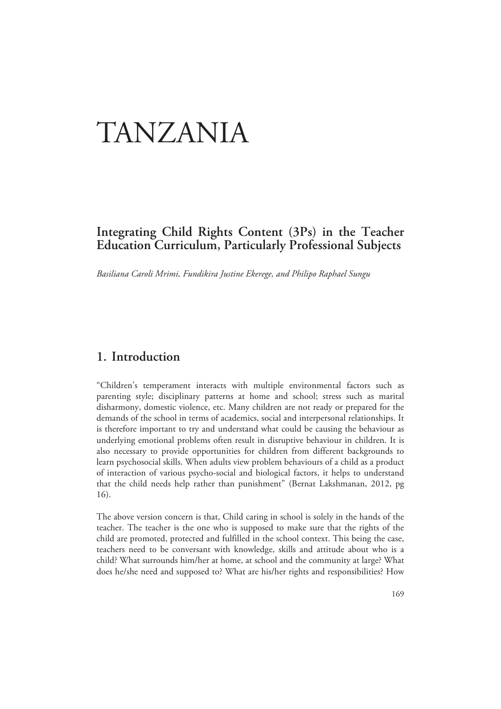# TANZANIA

# **Integrating Child Rights Content (3Ps) in the Teacher Education Curriculum, Particularly Professional Subjects**

*Basiliana Caroli Mrimi, Fundikira Justine Ekerege, and Philipo Raphael Sungu* 

# **1. Introduction**

"Children's temperament interacts with multiple environmental factors such as parenting style; disciplinary patterns at home and school; stress such as marital disharmony, domestic violence, etc. Many children are not ready or prepared for the demands of the school in terms of academics, social and interpersonal relationships. It is therefore important to try and understand what could be causing the behaviour as underlying emotional problems often result in disruptive behaviour in children. It is also necessary to provide opportunities for children from different backgrounds to learn psychosocial skills. When adults view problem behaviours of a child as a product of interaction of various psycho-social and biological factors, it helps to understand that the child needs help rather than punishment" (Bernat Lakshmanan, 2012, pg 16).

The above version concern is that, Child caring in school is solely in the hands of the teacher. The teacher is the one who is supposed to make sure that the rights of the child are promoted, protected and fulfilled in the school context. This being the case, teachers need to be conversant with knowledge, skills and attitude about who is a child? What surrounds him/her at home, at school and the community at large? What does he/she need and supposed to? What are his/her rights and responsibilities? How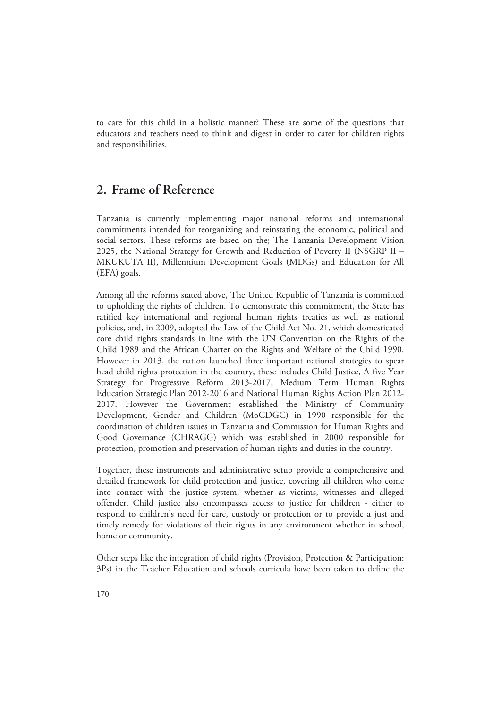to care for this child in a holistic manner? These are some of the questions that educators and teachers need to think and digest in order to cater for children rights and responsibilities.

# **2. Frame of Reference**

Tanzania is currently implementing major national reforms and international commitments intended for reorganizing and reinstating the economic, political and social sectors. These reforms are based on the; The Tanzania Development Vision 2025, the National Strategy for Growth and Reduction of Poverty II (NSGRP II – MKUKUTA II), Millennium Development Goals (MDGs) and Education for All (EFA) goals.

Among all the reforms stated above, The United Republic of Tanzania is committed to upholding the rights of children. To demonstrate this commitment, the State has ratified key international and regional human rights treaties as well as national policies, and, in 2009, adopted the Law of the Child Act No. 21, which domesticated core child rights standards in line with the UN Convention on the Rights of the Child 1989 and the African Charter on the Rights and Welfare of the Child 1990. However in 2013, the nation launched three important national strategies to spear head child rights protection in the country, these includes Child Justice, A five Year Strategy for Progressive Reform 2013-2017; Medium Term Human Rights Education Strategic Plan 2012-2016 and National Human Rights Action Plan 2012- 2017. However the Government established the Ministry of Community Development, Gender and Children (MoCDGC) in 1990 responsible for the coordination of children issues in Tanzania and Commission for Human Rights and Good Governance (CHRAGG) which was established in 2000 responsible for protection, promotion and preservation of human rights and duties in the country.

Together, these instruments and administrative setup provide a comprehensive and detailed framework for child protection and justice, covering all children who come into contact with the justice system, whether as victims, witnesses and alleged offender. Child justice also encompasses access to justice for children - either to respond to children's need for care, custody or protection or to provide a just and timely remedy for violations of their rights in any environment whether in school, home or community.

Other steps like the integration of child rights (Provision, Protection & Participation: 3Ps) in the Teacher Education and schools curricula have been taken to define the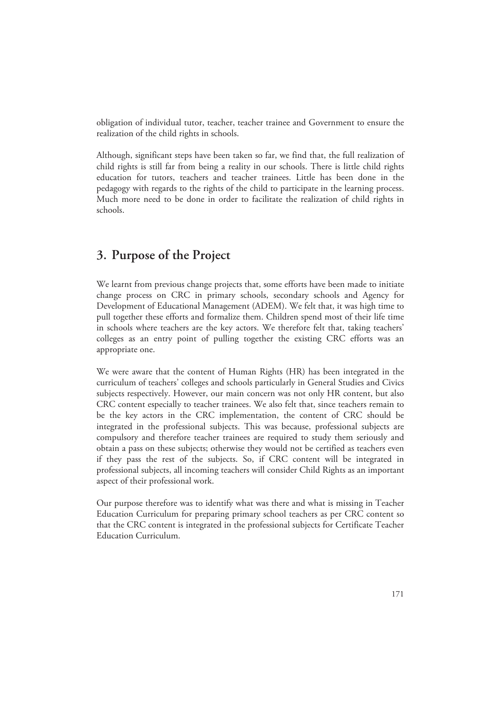obligation of individual tutor, teacher, teacher trainee and Government to ensure the realization of the child rights in schools.

Although, significant steps have been taken so far, we find that, the full realization of child rights is still far from being a reality in our schools. There is little child rights education for tutors, teachers and teacher trainees. Little has been done in the pedagogy with regards to the rights of the child to participate in the learning process. Much more need to be done in order to facilitate the realization of child rights in schools.

# **3. Purpose of the Project**

We learnt from previous change projects that, some efforts have been made to initiate change process on CRC in primary schools, secondary schools and Agency for Development of Educational Management (ADEM). We felt that, it was high time to pull together these efforts and formalize them. Children spend most of their life time in schools where teachers are the key actors. We therefore felt that, taking teachers' colleges as an entry point of pulling together the existing CRC efforts was an appropriate one.

We were aware that the content of Human Rights (HR) has been integrated in the curriculum of teachers' colleges and schools particularly in General Studies and Civics subjects respectively. However, our main concern was not only HR content, but also CRC content especially to teacher trainees. We also felt that, since teachers remain to be the key actors in the CRC implementation, the content of CRC should be integrated in the professional subjects. This was because, professional subjects are compulsory and therefore teacher trainees are required to study them seriously and obtain a pass on these subjects; otherwise they would not be certified as teachers even if they pass the rest of the subjects. So, if CRC content will be integrated in professional subjects, all incoming teachers will consider Child Rights as an important aspect of their professional work.

Our purpose therefore was to identify what was there and what is missing in Teacher Education Curriculum for preparing primary school teachers as per CRC content so that the CRC content is integrated in the professional subjects for Certificate Teacher Education Curriculum.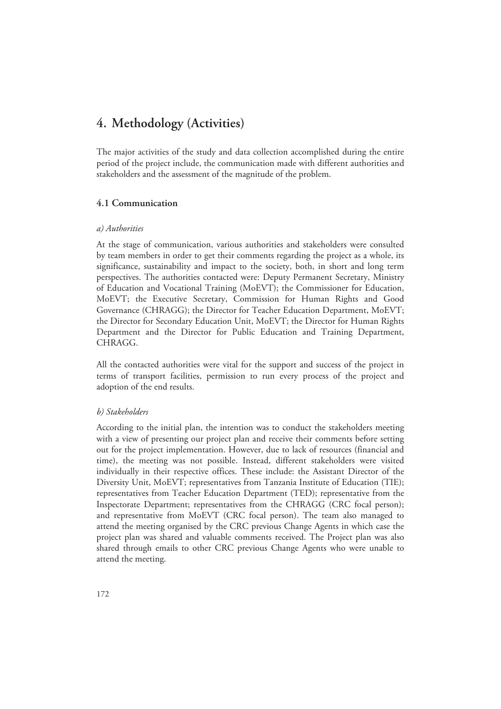# **4. Methodology (Activities)**

The major activities of the study and data collection accomplished during the entire period of the project include, the communication made with different authorities and stakeholders and the assessment of the magnitude of the problem.

#### **4.1 Communication**

#### *a) Authorities*

At the stage of communication, various authorities and stakeholders were consulted by team members in order to get their comments regarding the project as a whole, its significance, sustainability and impact to the society, both, in short and long term perspectives. The authorities contacted were: Deputy Permanent Secretary, Ministry of Education and Vocational Training (MoEVT); the Commissioner for Education, MoEVT; the Executive Secretary, Commission for Human Rights and Good Governance (CHRAGG); the Director for Teacher Education Department, MoEVT; the Director for Secondary Education Unit, MoEVT; the Director for Human Rights Department and the Director for Public Education and Training Department, CHRAGG.

All the contacted authorities were vital for the support and success of the project in terms of transport facilities, permission to run every process of the project and adoption of the end results.

#### *b) Stakeholders*

According to the initial plan, the intention was to conduct the stakeholders meeting with a view of presenting our project plan and receive their comments before setting out for the project implementation. However, due to lack of resources (financial and time), the meeting was not possible. Instead, different stakeholders were visited individually in their respective offices. These include: the Assistant Director of the Diversity Unit, MoEVT; representatives from Tanzania Institute of Education (TIE); representatives from Teacher Education Department (TED); representative from the Inspectorate Department; representatives from the CHRAGG (CRC focal person); and representative from MoEVT (CRC focal person). The team also managed to attend the meeting organised by the CRC previous Change Agents in which case the project plan was shared and valuable comments received. The Project plan was also shared through emails to other CRC previous Change Agents who were unable to attend the meeting.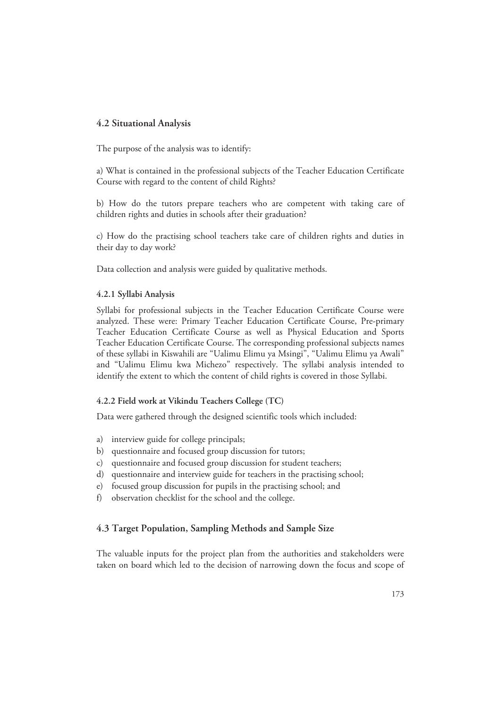## **4.2 Situational Analysis**

The purpose of the analysis was to identify:

a) What is contained in the professional subjects of the Teacher Education Certificate Course with regard to the content of child Rights?

b) How do the tutors prepare teachers who are competent with taking care of children rights and duties in schools after their graduation?

c) How do the practising school teachers take care of children rights and duties in their day to day work?

Data collection and analysis were guided by qualitative methods.

#### **4.2.1 Syllabi Analysis**

Syllabi for professional subjects in the Teacher Education Certificate Course were analyzed. These were: Primary Teacher Education Certificate Course, Pre-primary Teacher Education Certificate Course as well as Physical Education and Sports Teacher Education Certificate Course. The corresponding professional subjects names of these syllabi in Kiswahili are "Ualimu Elimu ya Msingi", "Ualimu Elimu ya Awali" and "Ualimu Elimu kwa Michezo" respectively. The syllabi analysis intended to identify the extent to which the content of child rights is covered in those Syllabi.

#### **4.2.2 Field work at Vikindu Teachers College (TC)**

Data were gathered through the designed scientific tools which included:

- a) interview guide for college principals;
- b) questionnaire and focused group discussion for tutors;
- c) questionnaire and focused group discussion for student teachers;
- d) questionnaire and interview guide for teachers in the practising school;
- e) focused group discussion for pupils in the practising school; and
- f) observation checklist for the school and the college.

#### **4.3 Target Population, Sampling Methods and Sample Size**

The valuable inputs for the project plan from the authorities and stakeholders were taken on board which led to the decision of narrowing down the focus and scope of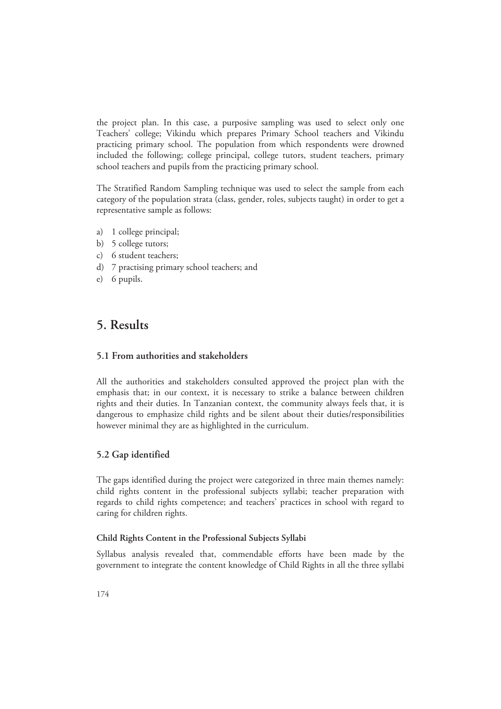the project plan. In this case, a purposive sampling was used to select only one Teachers' college; Vikindu which prepares Primary School teachers and Vikindu practicing primary school. The population from which respondents were drowned included the following; college principal, college tutors, student teachers, primary school teachers and pupils from the practicing primary school.

The Stratified Random Sampling technique was used to select the sample from each category of the population strata (class, gender, roles, subjects taught) in order to get a representative sample as follows:

- a) 1 college principal;
- b) 5 college tutors;
- c) 6 student teachers;
- d) 7 practising primary school teachers; and
- e) 6 pupils.

# **5. Results**

#### **5.1 From authorities and stakeholders**

All the authorities and stakeholders consulted approved the project plan with the emphasis that; in our context, it is necessary to strike a balance between children rights and their duties. In Tanzanian context, the community always feels that, it is dangerous to emphasize child rights and be silent about their duties/responsibilities however minimal they are as highlighted in the curriculum.

## **5.2 Gap identified**

The gaps identified during the project were categorized in three main themes namely: child rights content in the professional subjects syllabi; teacher preparation with regards to child rights competence; and teachers' practices in school with regard to caring for children rights.

#### **Child Rights Content in the Professional Subjects Syllabi**

Syllabus analysis revealed that, commendable efforts have been made by the government to integrate the content knowledge of Child Rights in all the three syllabi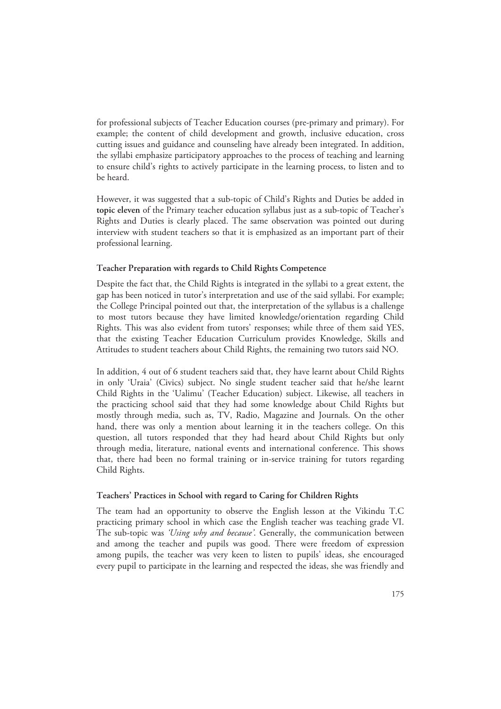for professional subjects of Teacher Education courses (pre-primary and primary). For example; the content of child development and growth, inclusive education, cross cutting issues and guidance and counseling have already been integrated. In addition, the syllabi emphasize participatory approaches to the process of teaching and learning to ensure child's rights to actively participate in the learning process, to listen and to be heard.

However, it was suggested that a sub-topic of Child's Rights and Duties be added in **topic eleven** of the Primary teacher education syllabus just as a sub-topic of Teacher's Rights and Duties is clearly placed. The same observation was pointed out during interview with student teachers so that it is emphasized as an important part of their professional learning.

#### **Teacher Preparation with regards to Child Rights Competence**

Despite the fact that, the Child Rights is integrated in the syllabi to a great extent, the gap has been noticed in tutor's interpretation and use of the said syllabi. For example; the College Principal pointed out that, the interpretation of the syllabus is a challenge to most tutors because they have limited knowledge/orientation regarding Child Rights. This was also evident from tutors' responses; while three of them said YES, that the existing Teacher Education Curriculum provides Knowledge, Skills and Attitudes to student teachers about Child Rights, the remaining two tutors said NO.

In addition, 4 out of 6 student teachers said that, they have learnt about Child Rights in only 'Uraia' (Civics) subject. No single student teacher said that he/she learnt Child Rights in the 'Ualimu' (Teacher Education) subject. Likewise, all teachers in the practicing school said that they had some knowledge about Child Rights but mostly through media, such as, TV, Radio, Magazine and Journals. On the other hand, there was only a mention about learning it in the teachers college. On this question, all tutors responded that they had heard about Child Rights but only through media, literature, national events and international conference. This shows that, there had been no formal training or in-service training for tutors regarding Child Rights.

#### **Teachers' Practices in School with regard to Caring for Children Rights**

The team had an opportunity to observe the English lesson at the Vikindu T.C practicing primary school in which case the English teacher was teaching grade VI. The sub-topic was *'Using why and because'*. Generally, the communication between and among the teacher and pupils was good. There were freedom of expression among pupils, the teacher was very keen to listen to pupils' ideas, she encouraged every pupil to participate in the learning and respected the ideas, she was friendly and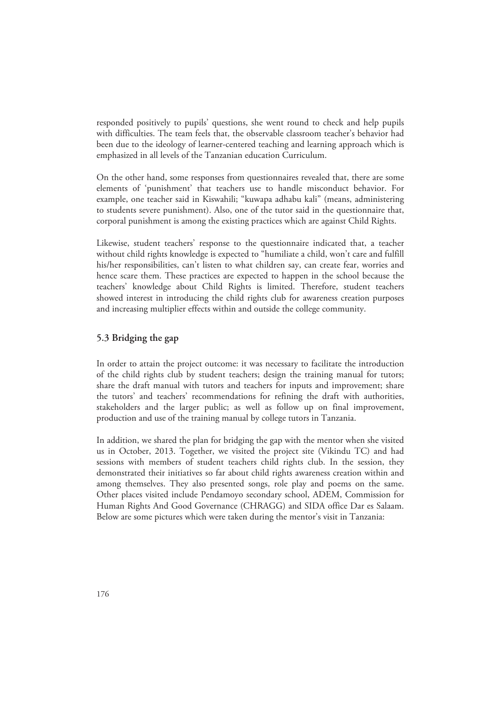responded positively to pupils' questions, she went round to check and help pupils with difficulties. The team feels that, the observable classroom teacher's behavior had been due to the ideology of learner-centered teaching and learning approach which is emphasized in all levels of the Tanzanian education Curriculum.

On the other hand, some responses from questionnaires revealed that, there are some elements of 'punishment' that teachers use to handle misconduct behavior. For example, one teacher said in Kiswahili; "kuwapa adhabu kali" (means, administering to students severe punishment). Also, one of the tutor said in the questionnaire that, corporal punishment is among the existing practices which are against Child Rights.

Likewise, student teachers' response to the questionnaire indicated that, a teacher without child rights knowledge is expected to "humiliate a child, won't care and fulfill his/her responsibilities, can't listen to what children say, can create fear, worries and hence scare them. These practices are expected to happen in the school because the teachers' knowledge about Child Rights is limited. Therefore, student teachers showed interest in introducing the child rights club for awareness creation purposes and increasing multiplier effects within and outside the college community.

## **5.3 Bridging the gap**

In order to attain the project outcome: it was necessary to facilitate the introduction of the child rights club by student teachers; design the training manual for tutors; share the draft manual with tutors and teachers for inputs and improvement; share the tutors' and teachers' recommendations for refining the draft with authorities, stakeholders and the larger public; as well as follow up on final improvement, production and use of the training manual by college tutors in Tanzania.

In addition, we shared the plan for bridging the gap with the mentor when she visited us in October, 2013. Together, we visited the project site (Vikindu TC) and had sessions with members of student teachers child rights club. In the session, they demonstrated their initiatives so far about child rights awareness creation within and among themselves. They also presented songs, role play and poems on the same. Other places visited include Pendamoyo secondary school, ADEM, Commission for Human Rights And Good Governance (CHRAGG) and SIDA office Dar es Salaam. Below are some pictures which were taken during the mentor's visit in Tanzania: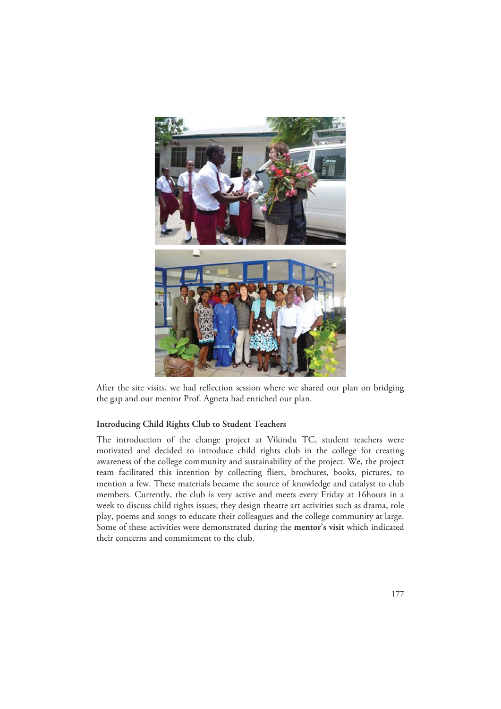

After the site visits, we had reflection session where we shared our plan on bridging the gap and our mentor Prof. Agneta had enriched our plan.

#### **Introducing Child Rights Club to Student Teachers**

The introduction of the change project at Vikindu TC, student teachers were motivated and decided to introduce child rights club in the college for creating awareness of the college community and sustainability of the project. We, the project team facilitated this intention by collecting fliers, brochures, books, pictures, to mention a few. These materials became the source of knowledge and catalyst to club members. Currently, the club is very active and meets every Friday at 16hours in a week to discuss child rights issues; they design theatre art activities such as drama, role play, poems and songs to educate their colleagues and the college community at large. Some of these activities were demonstrated during the **mentor's visit** which indicated their concerns and commitment to the club.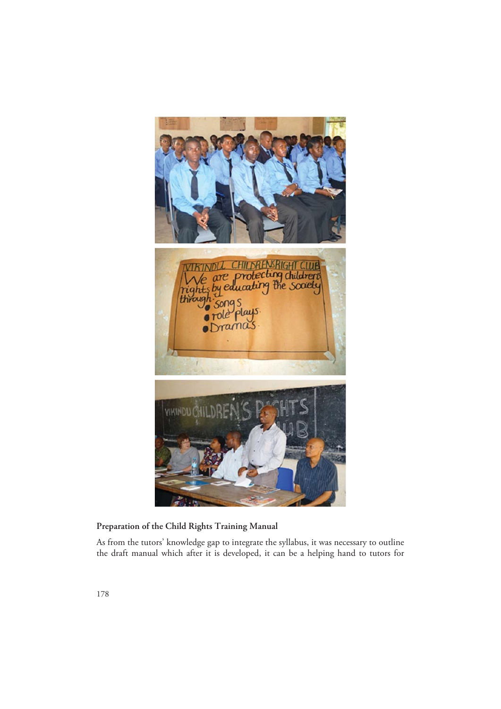

## **Preparation of the Child Rights Training Manual**

As from the tutors' knowledge gap to integrate the syllabus, it was necessary to outline the draft manual which after it is developed, it can be a helping hand to tutors for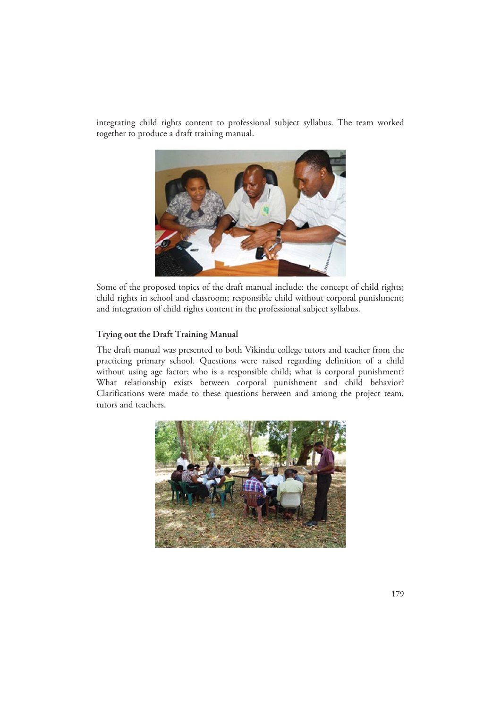integrating child rights content to professional subject syllabus. The team worked together to produce a draft training manual.



Some of the proposed topics of the draft manual include: the concept of child rights; child rights in school and classroom; responsible child without corporal punishment; and integration of child rights content in the professional subject syllabus.

#### **Trying out the Draft Training Manual**

The draft manual was presented to both Vikindu college tutors and teacher from the practicing primary school. Questions were raised regarding definition of a child without using age factor; who is a responsible child; what is corporal punishment? What relationship exists between corporal punishment and child behavior? Clarifications were made to these questions between and among the project team, tutors and teachers.

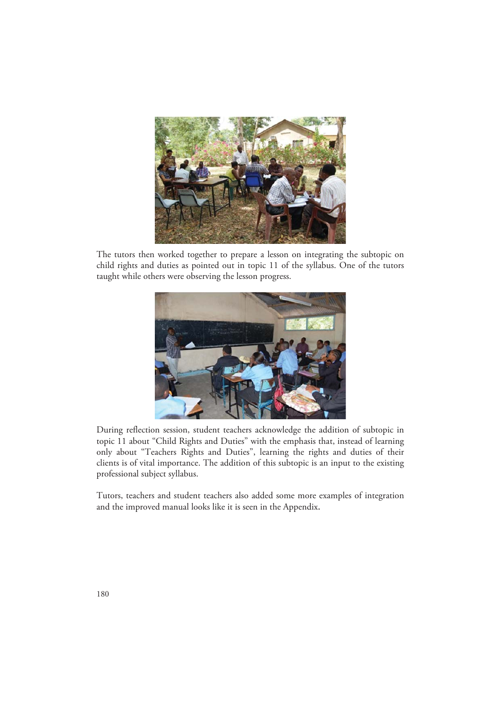

The tutors then worked together to prepare a lesson on integrating the subtopic on child rights and duties as pointed out in topic 11 of the syllabus. One of the tutors taught while others were observing the lesson progress.



During reflection session, student teachers acknowledge the addition of subtopic in topic 11 about "Child Rights and Duties" with the emphasis that, instead of learning only about "Teachers Rights and Duties", learning the rights and duties of their clients is of vital importance. The addition of this subtopic is an input to the existing professional subject syllabus.

Tutors, teachers and student teachers also added some more examples of integration and the improved manual looks like it is seen in the Appendix**.**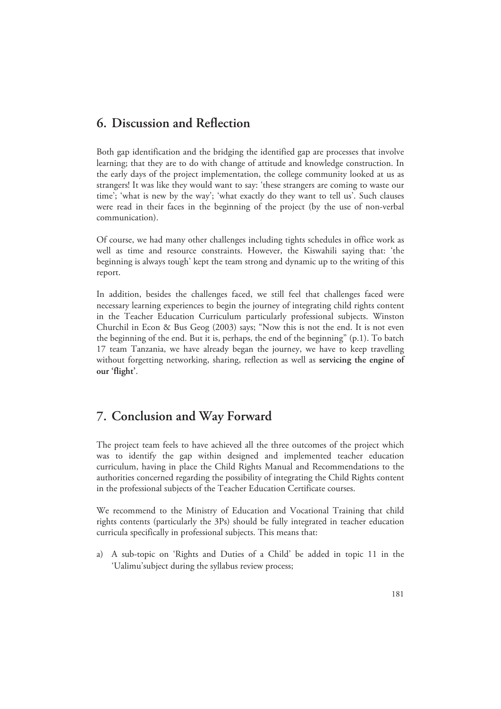# **6. Discussion and Reflection**

Both gap identification and the bridging the identified gap are processes that involve learning; that they are to do with change of attitude and knowledge construction. In the early days of the project implementation, the college community looked at us as strangers! It was like they would want to say: 'these strangers are coming to waste our time'; 'what is new by the way'; 'what exactly do they want to tell us'. Such clauses were read in their faces in the beginning of the project (by the use of non-verbal communication).

Of course, we had many other challenges including tights schedules in office work as well as time and resource constraints. However, the Kiswahili saying that: 'the beginning is always tough' kept the team strong and dynamic up to the writing of this report.

In addition, besides the challenges faced, we still feel that challenges faced were necessary learning experiences to begin the journey of integrating child rights content in the Teacher Education Curriculum particularly professional subjects. Winston Churchil in Econ & Bus Geog (2003) says; "Now this is not the end. It is not even the beginning of the end. But it is, perhaps, the end of the beginning" (p.1). To batch 17 team Tanzania, we have already began the journey, we have to keep travelling without forgetting networking, sharing, reflection as well as **servicing the engine of our 'flight'**.

# **7. Conclusion and Way Forward**

The project team feels to have achieved all the three outcomes of the project which was to identify the gap within designed and implemented teacher education curriculum, having in place the Child Rights Manual and Recommendations to the authorities concerned regarding the possibility of integrating the Child Rights content in the professional subjects of the Teacher Education Certificate courses.

We recommend to the Ministry of Education and Vocational Training that child rights contents (particularly the 3Ps) should be fully integrated in teacher education curricula specifically in professional subjects. This means that:

a) A sub-topic on 'Rights and Duties of a Child' be added in topic 11 in the 'Ualimu'subject during the syllabus review process;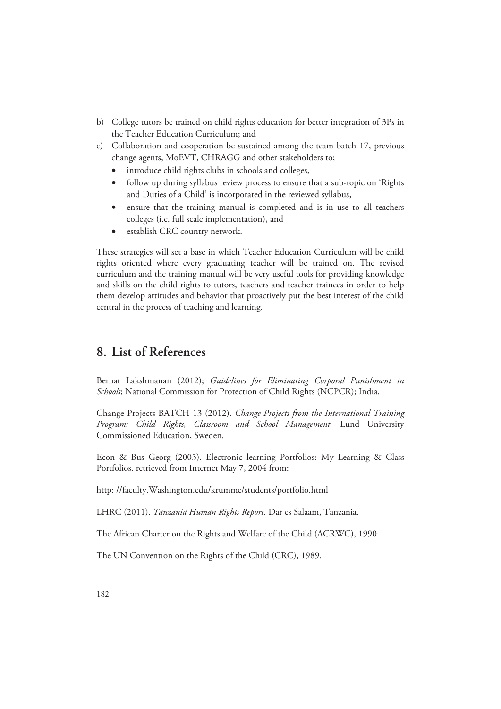- b) College tutors be trained on child rights education for better integration of 3Ps in the Teacher Education Curriculum; and
- c) Collaboration and cooperation be sustained among the team batch 17, previous change agents, MoEVT, CHRAGG and other stakeholders to;
	- introduce child rights clubs in schools and colleges,
	- follow up during syllabus review process to ensure that a sub-topic on 'Rights and Duties of a Child' is incorporated in the reviewed syllabus,
	- ensure that the training manual is completed and is in use to all teachers colleges (i.e. full scale implementation), and
	- establish CRC country network.

These strategies will set a base in which Teacher Education Curriculum will be child rights oriented where every graduating teacher will be trained on. The revised curriculum and the training manual will be very useful tools for providing knowledge and skills on the child rights to tutors, teachers and teacher trainees in order to help them develop attitudes and behavior that proactively put the best interest of the child central in the process of teaching and learning.

# **8. List of References**

Bernat Lakshmanan (2012); *Guidelines for Eliminating Corporal Punishment in Schools*; National Commission for Protection of Child Rights (NCPCR); India.

Change Projects BATCH 13 (2012). *Change Projects from the International Training Program: Child Rights, Classroom and School Management.* Lund University Commissioned Education, Sweden.

Econ & Bus Georg (2003). Electronic learning Portfolios: My Learning & Class Portfolios. retrieved from Internet May 7, 2004 from:

http: //faculty.Washington.edu/krumme/students/portfolio.html

LHRC (2011). *Tanzania Human Rights Report*. Dar es Salaam, Tanzania.

The African Charter on the Rights and Welfare of the Child (ACRWC), 1990.

The UN Convention on the Rights of the Child (CRC), 1989.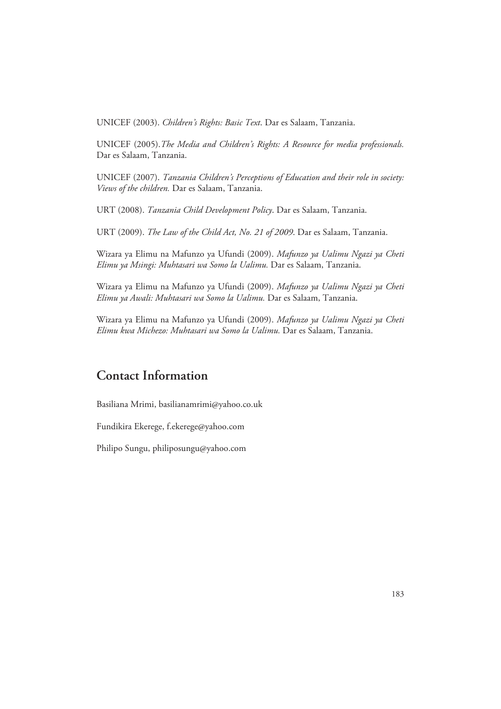UNICEF (2003). *Children's Rights: Basic Text*. Dar es Salaam, Tanzania.

UNICEF (2005).*The Media and Children's Rights: A Resource for media professionals.* Dar es Salaam, Tanzania.

UNICEF (2007). *Tanzania Children's Perceptions of Education and their role in society: Views of the children.* Dar es Salaam, Tanzania.

URT (2008). *Tanzania Child Development Policy*. Dar es Salaam, Tanzania.

URT (2009). *The Law of the Child Act, No. 21 of 2009*. Dar es Salaam, Tanzania.

Wizara ya Elimu na Mafunzo ya Ufundi (2009). *Mafunzo ya Ualimu Ngazi ya Cheti Elimu ya Msingi: Muhtasari wa Somo la Ualimu.* Dar es Salaam, Tanzania.

Wizara ya Elimu na Mafunzo ya Ufundi (2009). *Mafunzo ya Ualimu Ngazi ya Cheti Elimu ya Awali: Muhtasari wa Somo la Ualimu.* Dar es Salaam, Tanzania.

Wizara ya Elimu na Mafunzo ya Ufundi (2009). *Mafunzo ya Ualimu Ngazi ya Cheti Elimu kwa Michezo: Muhtasari wa Somo la Ualimu.* Dar es Salaam, Tanzania.

# **Contact Information**

Basiliana Mrimi, basilianamrimi@yahoo.co.uk

Fundikira Ekerege, f.ekerege@yahoo.com

Philipo Sungu, philiposungu@yahoo.com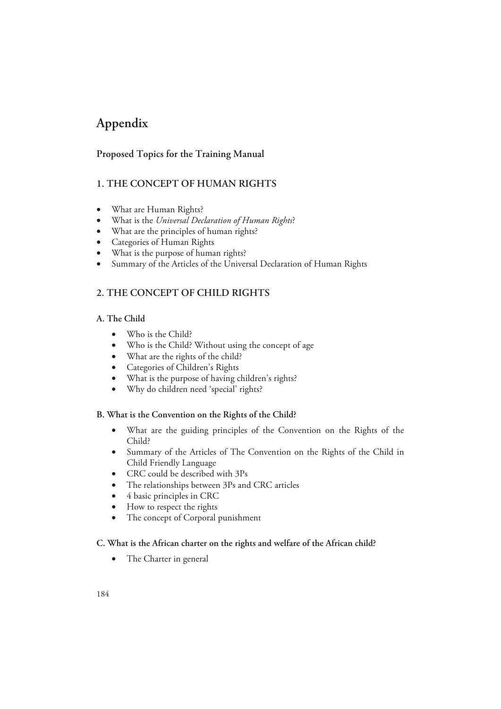# **Appendix**

## **Proposed Topics for the Training Manual**

## **1. THE CONCEPT OF HUMAN RIGHTS**

- What are Human Rights?
- What is the *Universal Declaration of Human Rights*?
- What are the principles of human rights?
- Categories of Human Rights
- What is the purpose of human rights?
- Summary of the Articles of the Universal Declaration of Human Rights

## **2. THE CONCEPT OF CHILD RIGHTS**

## **A. The Child**

- Who is the Child?
- Who is the Child? Without using the concept of age
- What are the rights of the child?
- Categories of Children's Rights
- What is the purpose of having children's rights?
- Why do children need 'special' rights?

## **B. What is the Convention on the Rights of the Child?**

- What are the guiding principles of the Convention on the Rights of the Child?
- Summary of the Articles of The Convention on the Rights of the Child in Child Friendly Language
- CRC could be described with 3Ps
- The relationships between 3Ps and CRC articles
- 4 basic principles in CRC
- How to respect the rights
- The concept of Corporal punishment

## **C. What is the African charter on the rights and welfare of the African child?**

• The Charter in general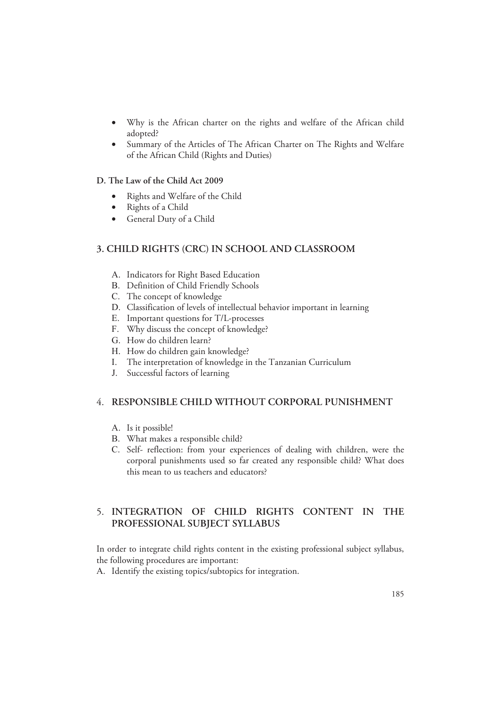- Why is the African charter on the rights and welfare of the African child adopted?
- Summary of the Articles of The African Charter on The Rights and Welfare of the African Child (Rights and Duties)

### **D. The Law of the Child Act 2009**

- Rights and Welfare of the Child
- Rights of a Child
- General Duty of a Child

## **3. CHILD RIGHTS (CRC) IN SCHOOL AND CLASSROOM**

- A. Indicators for Right Based Education
- B. Definition of Child Friendly Schools
- C. The concept of knowledge
- D. Classification of levels of intellectual behavior important in learning
- E. Important questions for T/L-processes
- F. Why discuss the concept of knowledge?
- G. How do children learn?
- H. How do children gain knowledge?
- I. The interpretation of knowledge in the Tanzanian Curriculum
- J. Successful factors of learning

## 4. **RESPONSIBLE CHILD WITHOUT CORPORAL PUNISHMENT**

- A. Is it possible!
- B. What makes a responsible child?
- C. Self- reflection: from your experiences of dealing with children, were the corporal punishments used so far created any responsible child? What does this mean to us teachers and educators?

## 5. **INTEGRATION OF CHILD RIGHTS CONTENT IN THE PROFESSIONAL SUBJECT SYLLABUS**

In order to integrate child rights content in the existing professional subject syllabus, the following procedures are important:

A. Identify the existing topics/subtopics for integration.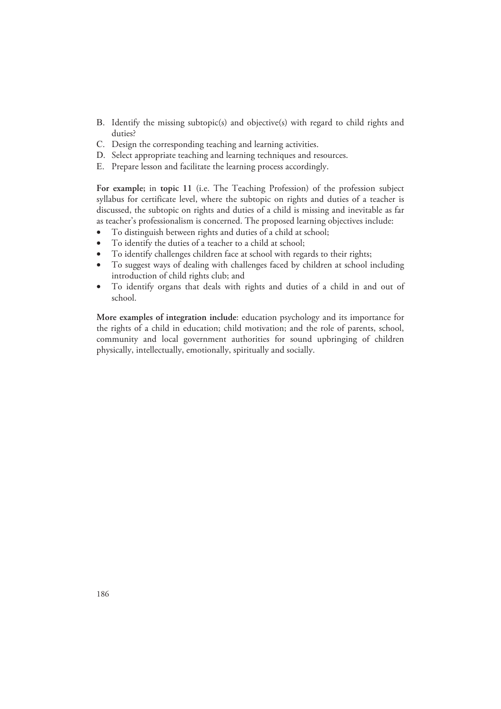- B. Identify the missing subtopic(s) and objective(s) with regard to child rights and duties?
- C. Design the corresponding teaching and learning activities.
- D. Select appropriate teaching and learning techniques and resources.
- E. Prepare lesson and facilitate the learning process accordingly.

**For example;** in **topic 11** (i.e. The Teaching Profession) of the profession subject syllabus for certificate level, where the subtopic on rights and duties of a teacher is discussed, the subtopic on rights and duties of a child is missing and inevitable as far as teacher's professionalism is concerned. The proposed learning objectives include:

- To distinguish between rights and duties of a child at school;
- To identify the duties of a teacher to a child at school;
- To identify challenges children face at school with regards to their rights;
- To suggest ways of dealing with challenges faced by children at school including introduction of child rights club; and
- To identify organs that deals with rights and duties of a child in and out of school.

**More examples of integration include**: education psychology and its importance for the rights of a child in education; child motivation; and the role of parents, school, community and local government authorities for sound upbringing of children physically, intellectually, emotionally, spiritually and socially.